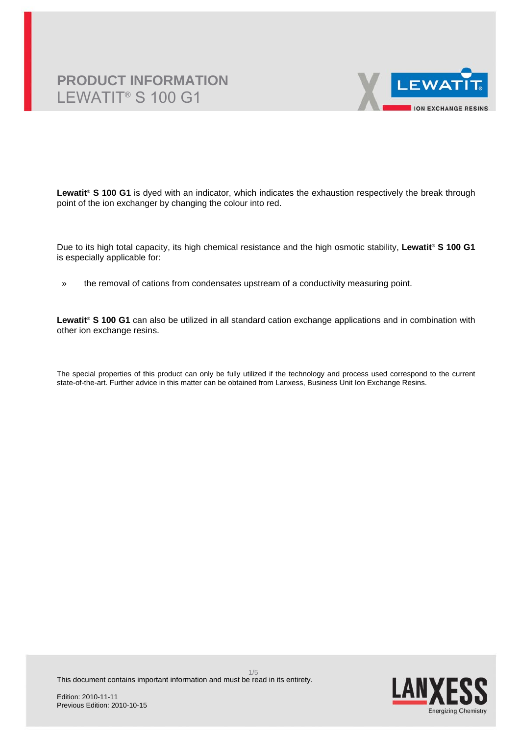# **PRODUCT INFORMATION** LEWATIT® S 100 G1



**Lewatit® S 100 G1** is dyed with an indicator, which indicates the exhaustion respectively the break through point of the ion exchanger by changing the colour into red.

Due to its high total capacity, its high chemical resistance and the high osmotic stability, **Lewatit® S 100 G1** is especially applicable for:

» the removal of cations from condensates upstream of a conductivity measuring point.

**Lewatit® S 100 G1** can also be utilized in all standard cation exchange applications and in combination with other ion exchange resins.

The special properties of this product can only be fully utilized if the technology and process used correspond to the current state-of-the-art. Further advice in this matter can be obtained from Lanxess, Business Unit Ion Exchange Resins.

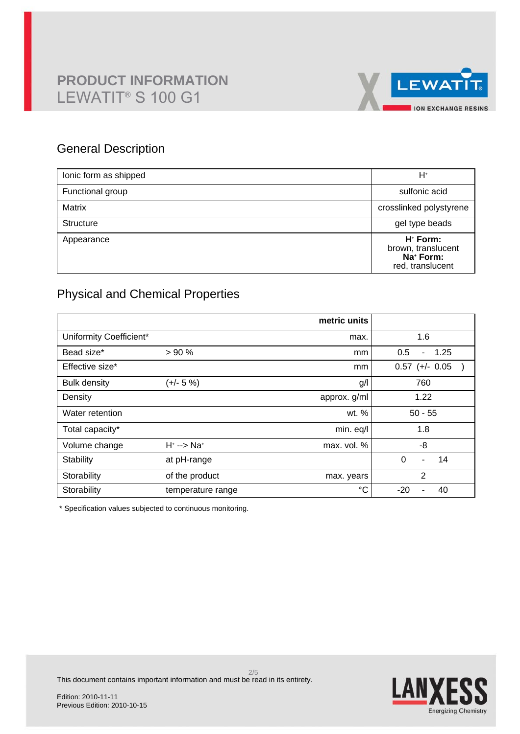

## General Description

| lonic form as shipped | H+                                                                                      |
|-----------------------|-----------------------------------------------------------------------------------------|
| Functional group      | sulfonic acid                                                                           |
| <b>Matrix</b>         | crosslinked polystyrene                                                                 |
| <b>Structure</b>      | gel type beads                                                                          |
| Appearance            | H <sup>+</sup> Form:<br>brown, translucent<br>Na <sup>+</sup> Form:<br>red, translucent |

# Physical and Chemical Properties

|                         |                            | metric units |                                         |
|-------------------------|----------------------------|--------------|-----------------------------------------|
| Uniformity Coefficient* |                            | max.         | 1.6                                     |
| Bead size*              | >90%                       | mm           | 1.25<br>0.5<br>$\overline{\phantom{0}}$ |
| Effective size*         |                            | mm           | $0.57$ (+/- 0.05                        |
| <b>Bulk density</b>     | $(+/- 5%)$                 | g/l          | 760                                     |
| Density                 |                            | approx. g/ml | 1.22                                    |
| Water retention         |                            | wt. %        | $50 - 55$                               |
| Total capacity*         |                            | min. eq/l    | 1.8                                     |
| Volume change           | $H^* \longrightarrow Na^*$ | max. vol. %  | -8                                      |
| Stability               | at pH-range                |              | $\mathbf 0$<br>14<br>۳                  |
| Storability             | of the product             | max. years   | $\overline{2}$                          |
| Storability             | temperature range          | °C           | $-20$<br>40<br>۳                        |

\* Specification values subjected to continuous monitoring.

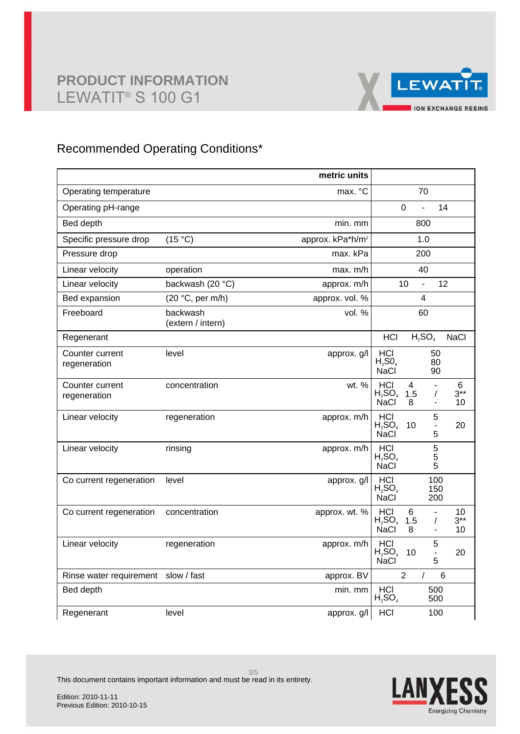

# Recommended Operating Conditions\*

|                                     |                               | metric units                 |                                                      |                                    |                                                |                      |
|-------------------------------------|-------------------------------|------------------------------|------------------------------------------------------|------------------------------------|------------------------------------------------|----------------------|
| Operating temperature               |                               | max. °C                      |                                                      | 70                                 |                                                |                      |
| Operating pH-range                  |                               |                              |                                                      | $\boldsymbol{0}$<br>$\overline{a}$ | 14                                             |                      |
| Bed depth                           |                               | min. mm                      |                                                      | 800                                |                                                |                      |
| Specific pressure drop              | (15 °C)                       | approx. kPa*h/m <sup>2</sup> |                                                      | 1.0                                |                                                |                      |
| Pressure drop                       |                               | max. kPa                     |                                                      | 200                                |                                                |                      |
| Linear velocity                     | operation                     | max. m/h                     |                                                      | 40                                 |                                                |                      |
| Linear velocity                     | backwash (20 °C)              | approx. m/h                  |                                                      | 10<br>$\overline{a}$               | 12                                             |                      |
| Bed expansion                       | (20 °C, per m/h)              | approx. vol. %               |                                                      | 4                                  |                                                |                      |
| Freeboard                           | backwash<br>(extern / intern) | vol. %                       |                                                      | 60                                 |                                                |                      |
| Regenerant                          |                               |                              | HCI                                                  | $H_2SO_4$                          |                                                | <b>NaCl</b>          |
| Counter current<br>regeneration     | level                         | approx. g/l                  | HCI<br>$H_2SO_4$<br><b>NaCl</b>                      |                                    | 50<br>80<br>90                                 |                      |
| Counter current<br>regeneration     | concentration                 | wt. $%$                      | <b>HCI</b><br>$H_2SO_4$<br><b>NaCl</b>               | 4<br>1.5<br>8                      | $\blacksquare$<br>$\sqrt{2}$<br>$\blacksquare$ | 6<br>$3***$<br>10    |
| Linear velocity                     | regeneration                  | approx. m/h                  | HCI<br>$H_2SO_4$<br><b>NaCl</b>                      | 10                                 | 5<br>$\blacksquare$<br>5                       | 20                   |
| Linear velocity                     | rinsing                       | approx. m/h                  | <b>HCI</b><br>$H_2SO_4$<br><b>NaCl</b>               |                                    | 5<br>$\sqrt{5}$<br>5                           |                      |
| Co current regeneration             | level                         | approx. g/l                  | <b>HCI</b><br>$H_2SO_4$<br><b>NaCl</b>               |                                    | 100<br>150<br>200                              |                      |
| Co current regeneration             | concentration                 | approx. wt. %                | <b>HCI</b><br>$H_2SO_4$<br><b>NaCl</b>               | 6<br>1.5<br>8                      | $\blacksquare$<br>$\prime$<br>$\blacksquare$   | 10<br>$3^{**}$<br>10 |
| Linear velocity                     | regeneration                  | approx. m/h                  | HCI<br>H <sub>2</sub> SO <sub>4</sub><br><b>NaCl</b> | 10                                 | 5<br>$\blacksquare$<br>5                       | 20                   |
| Rinse water requirement slow / fast |                               | approx. BV                   |                                                      | $\overline{2}$<br>$\prime$         | $\,6\,$                                        |                      |
| Bed depth                           |                               | min. mm                      | HCI<br>$H_2SO_4$                                     |                                    | 500<br>500                                     |                      |
| Regenerant                          | level                         | approx. g/l                  | HCI                                                  |                                    | 100                                            |                      |



This document contains important information and must be read in its entirety.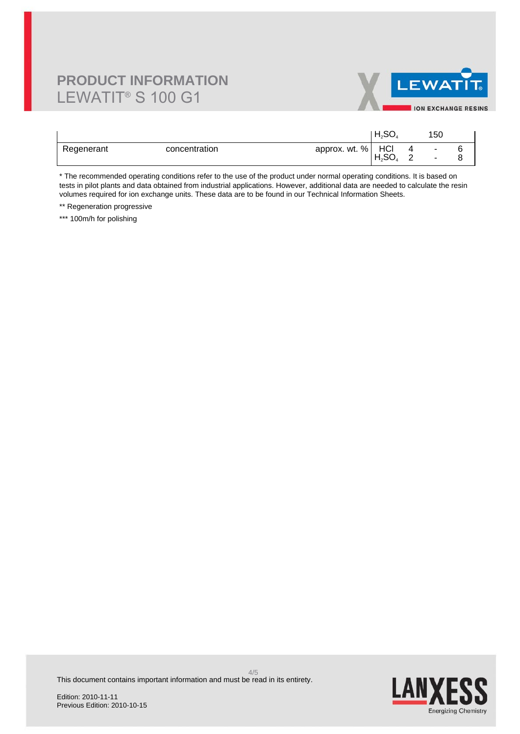# **PRODUCT INFORMATION** LEWATIT® S 100 G1



|            |               |               | H <sub>2</sub> SO <sub>4</sub>          |        | 150    |  |
|------------|---------------|---------------|-----------------------------------------|--------|--------|--|
| Regenerant | concentration | approx. wt. % | ∣ HCI<br>H <sub>2</sub> SO <sub>4</sub> | $\sim$ | ٠<br>۰ |  |

\* The recommended operating conditions refer to the use of the product under normal operating conditions. It is based on tests in pilot plants and data obtained from industrial applications. However, additional data are needed to calculate the resin volumes required for ion exchange units. These data are to be found in our Technical Information Sheets.

\*\* Regeneration progressive

\*\*\* 100m/h for polishing

LAN<sub>2</sub> Energizing Chemistry

This document contains important information and must be read in its entirety.